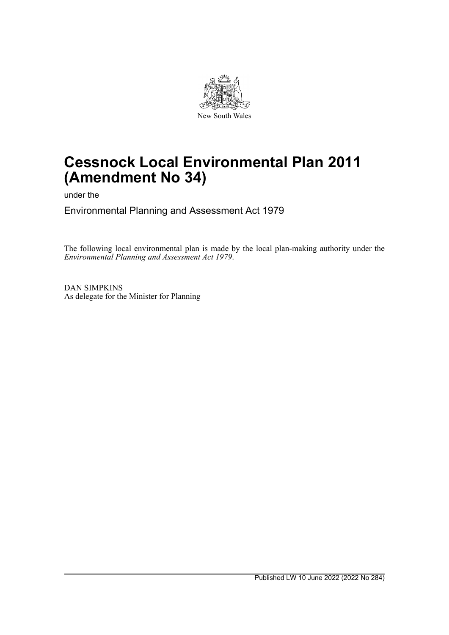

# **Cessnock Local Environmental Plan 2011 (Amendment No 34)**

under the

Environmental Planning and Assessment Act 1979

The following local environmental plan is made by the local plan-making authority under the *Environmental Planning and Assessment Act 1979*.

DAN SIMPKINS As delegate for the Minister for Planning

Published LW 10 June 2022 (2022 No 284)